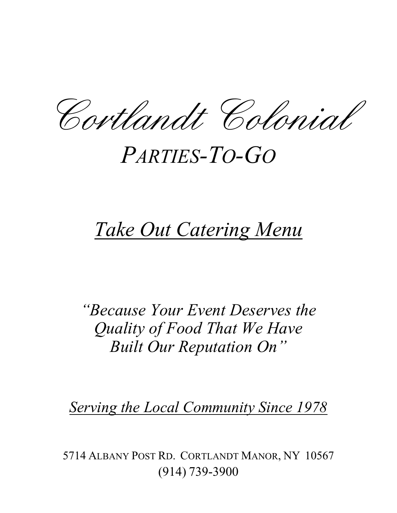Cortlandt Colonial

# *PARTIES-TO-GO*

# *Take Out Catering Menu*

*"Because Your Event Deserves the Quality of Food That We Have Built Our Reputation On"*

*Serving the Local Community Since 1978*

5714 ALBANY POST RD. CORTLANDT MANOR, NY 10567 (914) 739-3900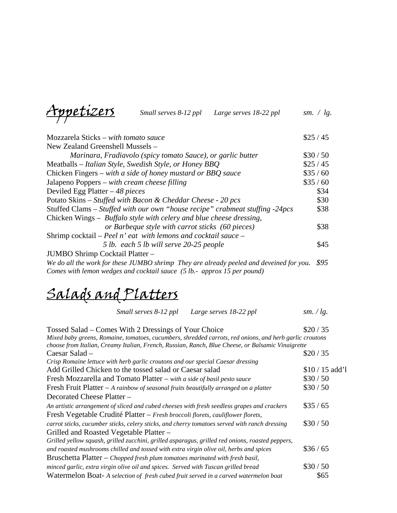Appetizers *Small serves 8-12 ppl Large serves 18-22 ppl sm. / lg.* 

| Mozzarela Sticks – with tomato sauce                                                    | \$25/45 |
|-----------------------------------------------------------------------------------------|---------|
| New Zealand Greenshell Mussels -                                                        |         |
| Marinara, Fradiavolo (spicy tomato Sauce), or garlic butter                             | \$30/50 |
| Meatballs – Italian Style, Swedish Style, or Honey BBQ                                  | \$25/45 |
| Chicken Fingers – with a side of honey mustard or BBQ sauce                             | \$35/60 |
| Jalapeno Poppers – with cream cheese filling                                            | \$35/60 |
| Deviled Egg Platter $-48$ pieces                                                        | \$34    |
| Potato Skins – Stuffed with Bacon & Cheddar Cheese - 20 pcs                             | \$30    |
| Stuffed Clams – Stuffed with our own "house recipe" crabmeat stuffing -24pcs            | \$38    |
| Chicken Wings – Buffalo style with celery and blue cheese dressing,                     |         |
| or Barbeque style with carrot sticks (60 pieces)                                        | \$38    |
| Shrimp cocktail – Peel n' eat with lemons and cocktail sauce –                          |         |
| 5 lb. each 5 lb will serve 20-25 people                                                 | \$45    |
| JUMBO Shrimp Cocktail Platter -                                                         |         |
| We do all the work for these JUMBO shrimp They are already peeled and deveined for you. | \$95    |
| Comes with lemon wedges and cocktail sauce (5 lb.- approx 15 per pound)                 |         |

## Salads and Platters

| Tossed Salad – Comes With 2 Dressings of Your Choice                                                    | \$20/35        |  |
|---------------------------------------------------------------------------------------------------------|----------------|--|
| Mixed baby greens, Romaine, tomatoes, cucumbers, shredded carrots, red onions, and herb garlic croutons |                |  |
| choose from Italian, Creamy Italian, French, Russian, Ranch, Blue Cheese, or Balsamic Vinaigrette       |                |  |
| Caesar Salad –                                                                                          | \$20/35        |  |
| Crisp Romaine lettuce with herb garlic croutons and our special Caesar dressing                         |                |  |
| Add Grilled Chicken to the tossed salad or Caesar salad                                                 | $$10/15$ add'l |  |
| Fresh Mozzarella and Tomato Platter - with a side of basil pesto sauce                                  | \$30/50        |  |
| Fresh Fruit Platter $-A$ rainbow of seasonal fruits beautifully arranged on a platter                   | \$30/50        |  |
| Decorated Cheese Platter -                                                                              |                |  |
| An artistic arrangement of sliced and cubed cheeses with fresh seedless grapes and crackers             | \$35/65        |  |
| Fresh Vegetable Crudité Platter - Fresh broccoli florets, cauliflower florets,                          |                |  |
| carrot sticks, cucumber sticks, celery sticks, and cherry tomatoes served with ranch dressing           | \$30/50        |  |
| Grilled and Roasted Vegetable Platter -                                                                 |                |  |
| Grilled yellow squash, grilled zucchini, grilled asparagus, grilled red onions, roasted peppers,        |                |  |
| and roasted mushrooms chilled and tossed with extra virgin olive oil, herbs and spices                  | \$36/65        |  |
| Bruschetta Platter $-$ Chopped fresh plum tomatoes marinated with fresh basil,                          |                |  |
| minced garlic, extra virgin olive oil and spices. Served with Tuscan grilled bread                      | \$30/50        |  |
| Watermelon Boat-A selection of fresh cubed fruit served in a carved watermelon boat                     | \$65           |  |

*Small serves 8-12 ppl Large serves 18-22 ppl sm. / lg.*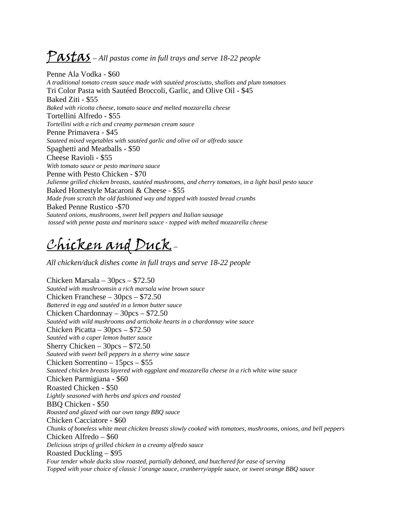### Pastas – All pastas come in full trays and serve 18-22 people

Penne Ala Vodka - \$60 *A traditional tomato cream sauce made with sautéed prosciutto, shallots and plum tomatoes*  Tri Color Pasta with Sautéed Broccoli, Garlic, and Olive Oil - \$45 Baked Ziti - \$55 *Baked with ricotta cheese, tomato sauce and melted mozzarella cheese*  Tortellini Alfredo - \$55 *Tortellini with a rich and creamy parmesan cream sauce*  Penne Primavera - \$45 *Sauteed mixed vegetables with sautéed garlic and olive oil or alfredo sauce*  Spaghetti and Meatballs - \$50 Cheese Ravioli - \$55 *With tomato sauce or pesto marinara sauce*  Penne with Pesto Chicken - \$70 *Julienne grilled chicken breasts, sautéed mushrooms, and cherry tomatoes, in a light basil pesto sauce*  Baked Homestyle Macaroni & Cheese - \$55 *Made from scratch the old fashioned way and topped with toasted bread crumbs*  Baked Penne Rustico -\$70 *Sauteed onions, mushrooms, sweet bell peppers and Italian sausage tossed with penne pasta and marinara sauce - topped with melted mozzarella cheese* 

#### Chicken and Duck –

*All chicken/duck dishes come in full trays and serve 18-22 people* 

Chicken Marsala – 30pcs – \$72.50 *Sautéed with mushroomsin a rich marsala wine brown sauce*  Chicken Franchese – 30pcs – \$72.50 *Battered in egg and sautéed in a lemon butter sauce*  Chicken Chardonnay – 30pcs – \$72.50 *Sautéed with wild mushrooms and artichoke hearts in a chardonnay wine sauce*  Chicken Picatta – 30pcs – \$72.50 *Sautéed with a caper lemon butter sauce*  Sherry Chicken – 30pcs – \$72.50 *Sauteed with sweet bell peppers in a sherry wine sauce*  Chicken Sorrentino – 15pcs – \$55 *Sauteed chicken breasts layered with eggplant and mozzarella cheese in a rich white wine sauce*  Chicken Parmigiana - \$60 Roasted Chicken - \$50 *Lightly seasoned with herbs and spices and roasted*  BBQ Chicken - \$50 *Roasted and glazed with our own tangy BBQ sauce*  Chicken Cacciatore - \$60 *Chunks of boneless white meat chicken breasts slowly cooked with tomatoes, mushrooms, onions, and bell peppers*  Chicken Alfredo – \$60 *Delicious strips of grilled chicken in a creamy alfredo sauce*  Roasted Duckling – \$95 *Four tender whole ducks slow roasted, partially deboned, and butchered for ease of serving Topped with your choice of classic l'orange sauce, cranberry/apple sauce, or sweet orange BBQ sauce*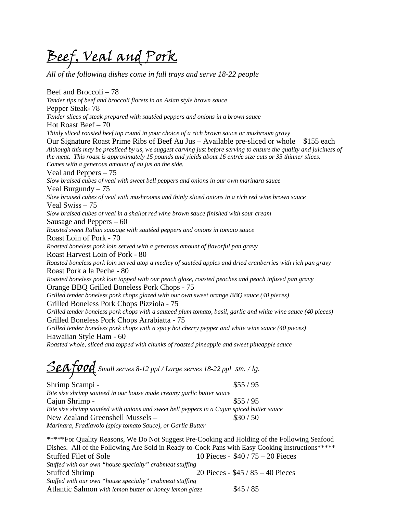Beef, Veal and Pork

*All of the following dishes come in full trays and serve 18-22 people* 

Beef and Broccoli – 78 *Tender tips of beef and broccoli florets in an Asian style brown sauce*  Pepper Steak- 78 *Tender slices of steak prepared with sautéed peppers and onions in a brown sauce*  Hot Roast Beef – 70 *Thinly sliced roasted beef top round in your choice of a rich brown sauce or mushroom gravy*  Our Signature Roast Prime Ribs of Beef Au Jus – Available pre-sliced or whole \$155 each *Although this may be presliced by us, we suggest carving just before serving to ensure the quality and juiciness of the meat. This roast is approximately 15 pounds and yields about 16 entrée size cuts or 35 thinner slices. Comes with a generous amount of au jus on the side.*  Veal and Peppers – 75 *Slow braised cubes of veal with sweet bell peppers and onions in our own marinara sauce*  Veal Burgundy – 75 *Slow braised cubes of veal with mushrooms and thinly sliced onions in a rich red wine brown sauce* Veal Swiss – 75 *Slow braised cubes of veal in a shallot red wine brown sauce finished with sour cream*  Sausage and Peppers – 60 *Roasted sweet Italian sausage with sautéed peppers and onions in tomato sauce*  Roast Loin of Pork - 70 *Roasted boneless pork loin served with a generous amount of flavorful pan gravy* Roast Harvest Loin of Pork - 80 *Roasted boneless pork loin served atop a medley of sautéed apples and dried cranberries with rich pan gravy* Roast Pork a la Peche - 80 *Roasted boneless pork loin topped with our peach glaze, roasted peaches and peach infused pan gravy* Orange BBQ Grilled Boneless Pork Chops - 75 *Grilled tender boneless pork chops glazed with our own sweet orange BBQ sauce (40 pieces)* Grilled Boneless Pork Chops Pizziola - 75 *Grilled tender boneless pork chops with a sauteed plum tomato, basil, garlic and white wine sauce (40 pieces)* Grilled Boneless Pork Chops Arrabiatta - 75 *Grilled tender boneless pork chops with a spicy hot cherry pepper and white wine sauce (40 pieces)* Hawaiian Style Ham - 60 *Roasted whole, sliced and topped with chunks of roasted pineapple and sweet pineapple sauce*

Seafood *Small serves 8-12 ppl / Large serves 18-22 ppl sm. / lg.* 

Shrimp Scampi -  $\$55 / 95$ *Bite size shrimp sauteed in our house made creamy garlic butter sauce*  Cajun Shrimp -  $\frac{$55}{95}$ *Bite size shrimp sautéed with onions and sweet bell peppers in a Cajun spiced butter sauce*  New Zealand Greenshell Mussels – \$30 / 50 *Marinara, Fradiavolo (spicy tomato Sauce), or Garlic Butter*

\*\*\*\*\*For Quality Reasons, We Do Not Suggest Pre-Cooking and Holding of the Following Seafood Dishes. All of the Following Are Sold in Ready-to-Cook Pans with Easy Cooking Instructions\*\*\*\*\* Stuffed Filet of Sole 10 Pieces - \$40 / 75 – 20 Pieces *Stuffed with our own "house specialty" crabmeat stuffing*  Stuffed Shrimp 20 Pieces - \$45 / 85 – 40 Pieces *Stuffed with our own "house specialty" crabmeat stuffing*  Atlantic Salmon *with lemon butter or honey lemon glaze* \$45 / 85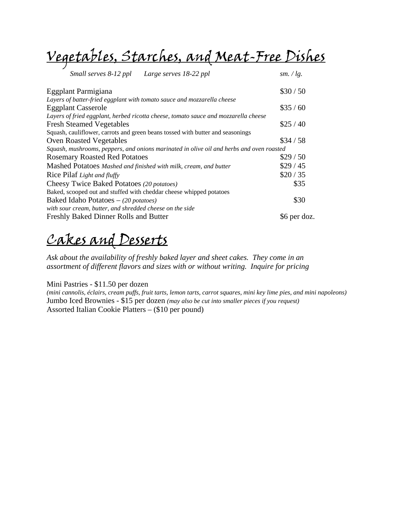Vegetables, Starches, and Meat-Free Dishes

| Small serves 8-12 ppl<br>Large serves 18-22 ppl                                          | sm. $\ell$ lg. |
|------------------------------------------------------------------------------------------|----------------|
| Eggplant Parmigiana                                                                      | \$30/50        |
| Layers of batter-fried eggplant with tomato sauce and mozzarella cheese                  |                |
| <b>Eggplant Casserole</b>                                                                | \$35/60        |
| Layers of fried eggplant, herbed ricotta cheese, tomato sauce and mozzarella cheese      |                |
| <b>Fresh Steamed Vegetables</b>                                                          | \$25/40        |
| Squash, cauliflower, carrots and green beans tossed with butter and seasonings           |                |
| <b>Oven Roasted Vegetables</b>                                                           | \$34/58        |
| Squash, mushrooms, peppers, and onions marinated in olive oil and herbs and oven roasted |                |
| <b>Rosemary Roasted Red Potatoes</b>                                                     | \$29/50        |
| Mashed Potatoes Mashed and finished with milk, cream, and butter                         | \$29/45        |
| Rice Pilaf Light and fluffy                                                              | \$20/35        |
| Cheesy Twice Baked Potatoes (20 potatoes)                                                | \$35           |
| Baked, scooped out and stuffed with cheddar cheese whipped potatoes                      |                |
| Baked Idaho Potatoes $-$ (20 potatoes)                                                   | \$30           |
| with sour cream, butter, and shredded cheese on the side                                 |                |
| Freshly Baked Dinner Rolls and Butter                                                    | \$6 per doz.   |

#### Cakes and Desserts

*Ask about the availability of freshly baked layer and sheet cakes. They come in an assortment of different flavors and sizes with or without writing. Inquire for pricing* 

Mini Pastries - \$11.50 per dozen

*(mini cannolis, éclairs, cream puffs, fruit tarts, lemon tarts, carrot squares, mini key lime pies, and mini napoleons)* Jumbo Iced Brownies - \$15 per dozen *(may also be cut into smaller pieces if you request)*  Assorted Italian Cookie Platters – (\$10 per pound)